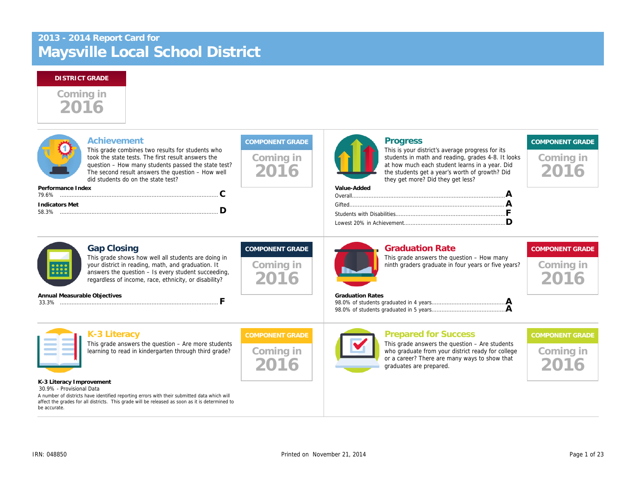# Maysville Local School District 2013 - 2014 Report Card for

# Coming in 2016

| Achievement<br>This grade combines two results for students who<br>took the state tests. The first result answers the<br>question - How many students passed the state test?<br>The second result answers the question - How well<br>did students do on the state test?<br>Performance Index<br>C | Coming in<br>2016                           | <b>Progress</b><br>This is your district's average progress f<br>students in math and reading, grades 4-<br>at how much each student learns in a ye<br>the students get a year's worth of growtl<br>they get more? Did they get less?<br>Value-Added |
|---------------------------------------------------------------------------------------------------------------------------------------------------------------------------------------------------------------------------------------------------------------------------------------------------|---------------------------------------------|------------------------------------------------------------------------------------------------------------------------------------------------------------------------------------------------------------------------------------------------------|
| <b>Indicators Met</b><br>D                                                                                                                                                                                                                                                                        |                                             |                                                                                                                                                                                                                                                      |
| <b>Gap Closing</b><br>This grade shows how well all students are doing in<br>your district in reading, math, and graduation. It<br>answers the question - Is every student succeeding,<br>regardless of income, race, ethnicity, or disability?                                                   | <b>COMPONENT GRADE</b><br>Coming in<br>2016 | <b>Graduation Rate</b><br>This grade answers the question - How<br>ninth graders graduate in four years or f                                                                                                                                         |
| Annual Measurable Objectives<br>F                                                                                                                                                                                                                                                                 |                                             | <b>Graduation Rates</b>                                                                                                                                                                                                                              |
| K-3 Literacy<br>This grade answers the question $-$ Are more students<br>learning to read in kindergarten through third grade?                                                                                                                                                                    | <b>COMPONENT GRADE</b><br>Coming in<br>2016 | <b>Prepared for Success</b><br>This grade answers the question $-$ Are s<br>who graduate from your district ready fo<br>or a career? There are many ways to sh<br>graduates are prepared.                                                            |
| K-3 Literacy Improvement<br>30.9% - Provisional Data<br>A number of districts have identified reporting errors with their submitted data which will<br>affect the grades for all districts. This grade will be released as soon as it is determined to<br>be accurate.                            |                                             |                                                                                                                                                                                                                                                      |
|                                                                                                                                                                                                                                                                                                   |                                             |                                                                                                                                                                                                                                                      |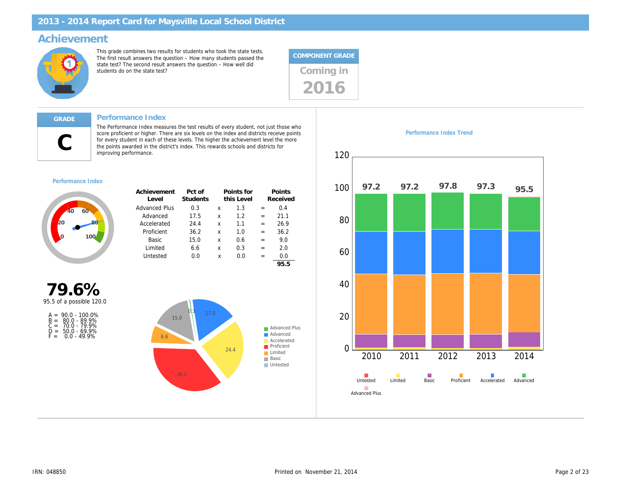### Achievement

This grade combines two results for students who took the state tests. The first result answers the question – How many students passed the state test? The second result answers the question – How well did state test? The second result answers the question – now well did<br>students do on the state test?



### Performance Index

 $\mathsf C$ 

The Performance Index measures the test results of every student, not just those who score proficient or higher. There are six levels on the index and districts receive points for every student in each of these levels. The higher the achievement level the more the points awarded in the district's index. This rewards schools and districts for improving performance.

### Performance Index

| Achievement<br>Level | Pct of<br>Students |   | Points for<br>this Level |     | Points<br>Received |
|----------------------|--------------------|---|--------------------------|-----|--------------------|
| <b>Advanced Plus</b> | 0.3                | x | 1.3                      |     | 0.4                |
| Advanced             | 17.5               | x | 1.2                      | $=$ | 21.1               |
| Accelerated          | 24.4               | x | 1.1                      | $=$ | 26.9               |
| Proficient           | 36.2               | x | 1.0                      | $=$ | 36.2               |
| Basic                | 15.0               | x | 0.6                      | $=$ | 9.0                |
| Limited              | 6.6                | x | 0.3                      | $=$ | 2.0                |
| Untested             | 0.0                | x | 0.0                      | $=$ | 0.0                |
|                      |                    |   |                          |     | 95.5               |

79.6% 95.5 of a possible 120.0

| $A =$ | $90.0 - 100.0\%$   |
|-------|--------------------|
|       | $B = 80.0 - 89.9%$ |
| $C =$ | 70.0 - 79.9%       |
| D =   | $50.0 - 69.9%$     |
| F =   | $0.0 - 49.9%$      |

Performance Index Trend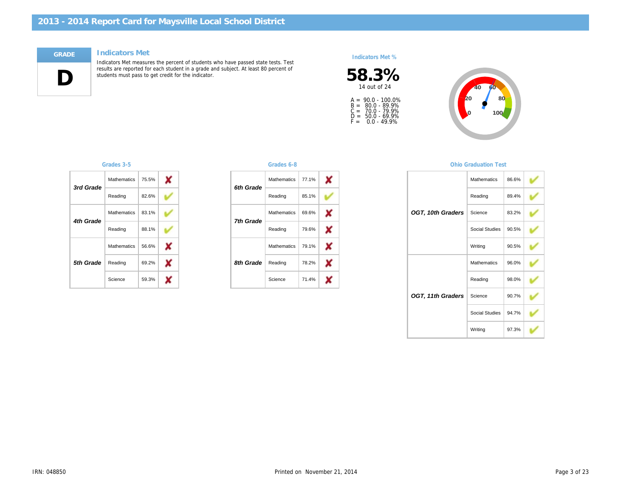### Indicators Met

 $\Box$ 

Indicators Met measures the percent of students who have passed state tests. Test results are reported for each student in a grade and subject. At least 80 percent of students must pass to get credit for the indicator.

### Indicators Met %



A =<br>B =<br>C =<br>D =<br>F = 90.0 - 100.0% 80.0 - 89.9% 70.0 - 79.9% 50.0 - 69.9% 0.0 - 49.9%

| 3rd Grade | <b>Mathematics</b> | 75.5%              |       |  |
|-----------|--------------------|--------------------|-------|--|
|           |                    | Reading            | 82.6% |  |
|           | 4th Grade          | <b>Mathematics</b> | 83.1% |  |
|           |                    | Reading            | 88.1% |  |
|           |                    | <b>Mathematics</b> | 56.6% |  |
| 5th Grade | Reading            | 69.2%              |       |  |
|           |                    | Science            | 59.3% |  |

### Grades 3-5 Grades 6-8

| 6th Grade | Mathematics        | 77.1% |
|-----------|--------------------|-------|
|           | Reading            | 85.1% |
| 7th Grade | <b>Mathematics</b> | 69.6% |
|           | Reading            | 79.6% |
| 8th Grade | <b>Mathematics</b> | 79.1% |
|           | Reading            | 78.2% |
|           | Science            | 71.4% |

### **Ohio Graduation**

| OGT, 10th Graders | Mathemati  |
|-------------------|------------|
|                   | Reading    |
|                   | Science    |
|                   | Social Stu |
|                   | Writing    |
| OGT, 11th Graders | Mathemati  |
|                   | Reading    |
|                   | Science    |
|                   | Social Stu |
|                   | Writing    |
|                   |            |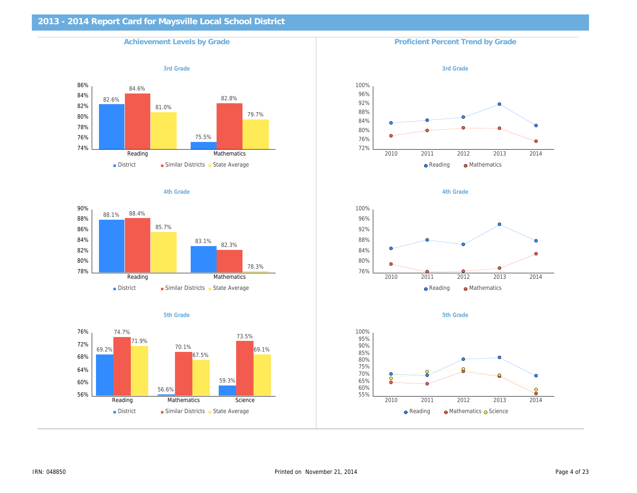# 2013 - 2014 Report Card for Maysville Local School District Achievement Levels by Grade Proficient Percent Trend by Grade Proficient Percent Trend by Grade 3rd Grade 3rd Grade 3rd Grade 3rd Grade 3rd Grade 3rd Grade 3rd Grade 3rd Grade 3rd Grade 3rd Grade 3rd Grade 4th Grade **4th Grade** 4th Grade 3th and the set of the set of the set of the set of the set of the set of the set of the set of the set of the set of the set of the set of the set of the set of the set of the set of the se 5th Grade 5th Grade 5th Grade 5th Grade 5th Grade 5th Grade 5th Grade 5th Grade 5th Grade 5th Grade 5th Grade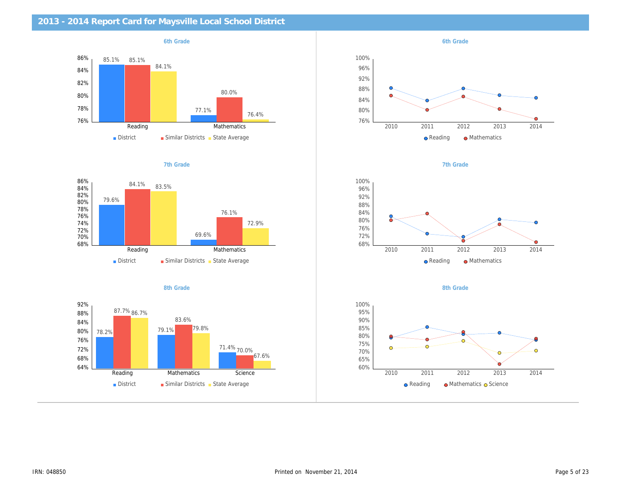| 2013 - 2014 Report Card for Maysville Local School District |           |
|-------------------------------------------------------------|-----------|
| 6th Grade                                                   | 6th Grade |
|                                                             |           |
|                                                             |           |
|                                                             |           |
|                                                             |           |
|                                                             |           |
|                                                             |           |
| 7th Grade                                                   | 7th Grade |
|                                                             |           |
|                                                             |           |
|                                                             |           |
|                                                             |           |
|                                                             |           |
|                                                             |           |
| 8th Grade                                                   | 8th Grade |
|                                                             |           |
|                                                             |           |
|                                                             |           |
|                                                             |           |
|                                                             |           |
|                                                             |           |
|                                                             |           |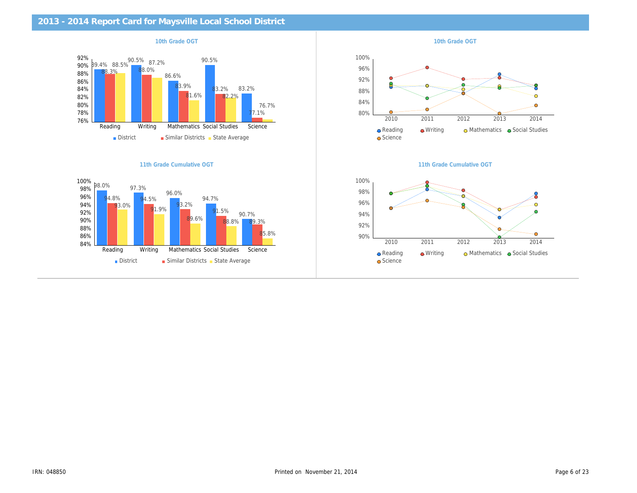| 2013 - 2014 Report Card for Maysville Local School District |                           |
|-------------------------------------------------------------|---------------------------|
| 10th Grade OGT                                              | 10th Grade OGT            |
|                                                             |                           |
|                                                             |                           |
|                                                             |                           |
|                                                             |                           |
|                                                             |                           |
|                                                             |                           |
| 11th Grade Cumulative OGT                                   | 11th Grade Cumulative OG1 |
|                                                             |                           |
|                                                             |                           |
|                                                             |                           |
|                                                             |                           |
|                                                             |                           |
|                                                             |                           |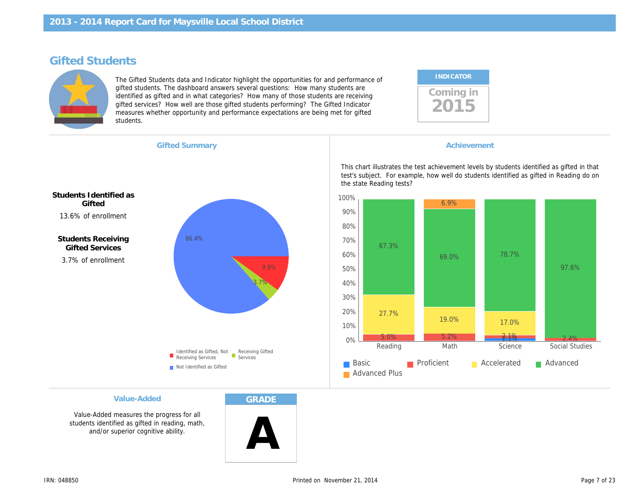# Gifted Students

The Gifted Students data and Indicator highlight the opportunities for and performance of gifted students. The dashboard answers several questions: How many students are identified as gifted and in what categories? How many of those students are receiving gifted services? How well are those gifted students performing? The Gifted Indicator measures whether opportunity and performance expectations are being met for gifted students.

| <b>INDICATOR</b> |  |
|------------------|--|
| oming in;        |  |

13.6% of enrollment Students Identified as **Gifted** 

3.7% of enrollment Students Receiving Gifted Services

Gifted Summary **Achievement Achievement Achievement** 

This chart illustrates the test achievement levels by test's subject. For example, how well do students i the state Reading tests?

Value-Added

Value-Added measures the progress for all students identified as gifted in reading, math, and/or superior cognitive ability.

**GRADE** 

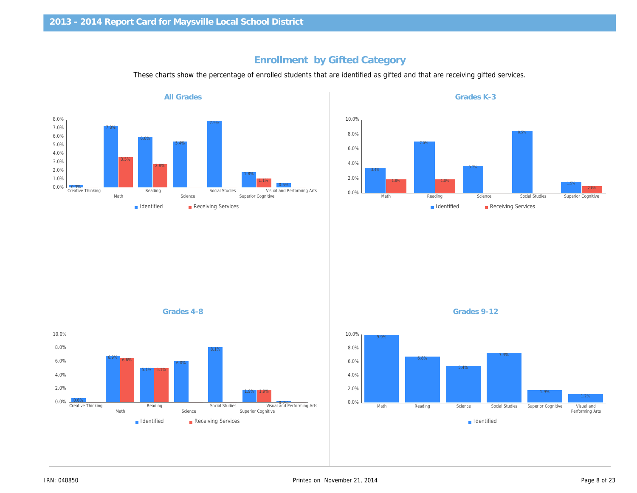# Enrollment by Gifted Category

These charts show the percentage of enrolled students that are identified as gifted and that are receiving gifted

All Grades

Grades 4-8 Grades 9-12

Grades K-3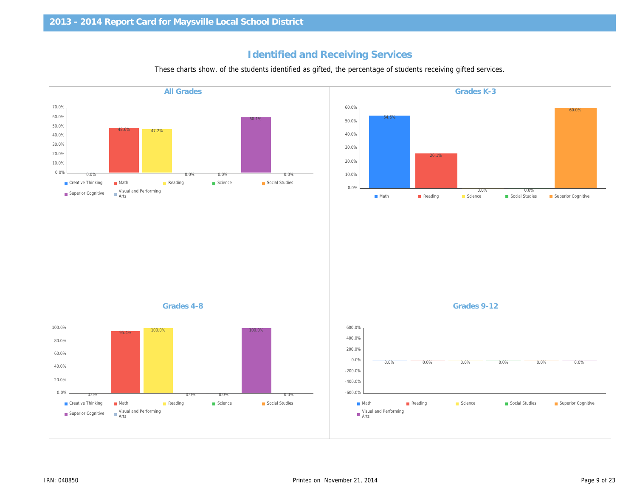# Identified and Receiving Services

These charts show, of the students identified as gifted, the percentage of students receiving gifted service

| <b>All Grades</b> | Grades K-3  |
|-------------------|-------------|
|                   |             |
|                   |             |
|                   |             |
|                   |             |
|                   |             |
|                   |             |
|                   |             |
|                   |             |
|                   |             |
|                   |             |
|                   |             |
|                   |             |
|                   |             |
|                   |             |
|                   |             |
|                   |             |
|                   |             |
| Grades 4-8        | Grades 9-12 |
|                   |             |
|                   |             |
|                   |             |
|                   |             |
|                   |             |
|                   |             |
|                   |             |
|                   |             |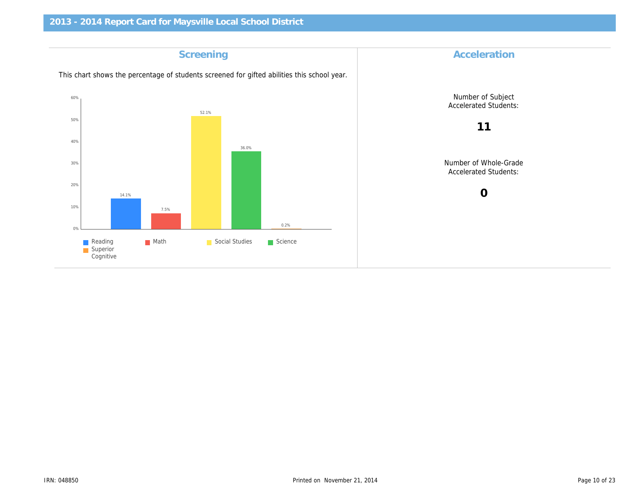| Screening                                                                                   | Accelerat                     |
|---------------------------------------------------------------------------------------------|-------------------------------|
| This chart shows the percentage of students screened for gifted abilities this school year. |                               |
|                                                                                             | Number of S<br>Accelerated S  |
|                                                                                             | 11                            |
|                                                                                             | Number of Wh<br>Accelerated S |
|                                                                                             | $\mathbf 0$                   |
|                                                                                             |                               |
|                                                                                             |                               |
|                                                                                             |                               |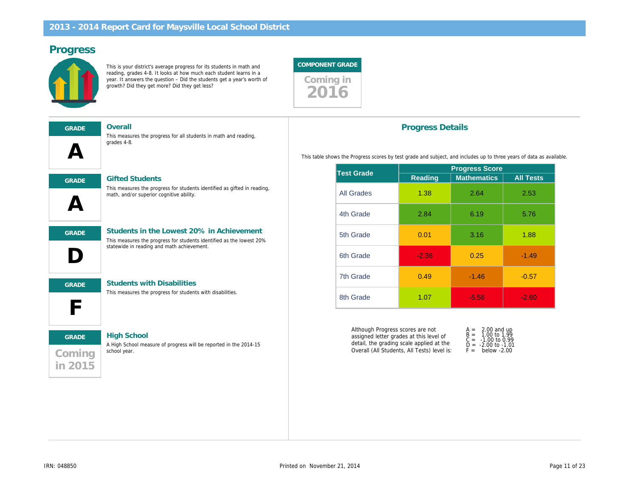# Progress

This is your district's average progress for its students in math and reading, grades 4-8. It looks at how much each student learns in a year. It answers the question – Did the students get a year's worth of growth? Did they get more? Did they get less?



| <b>GRADE</b> |  |
|--------------|--|
|              |  |
|              |  |

Overall

This measures the progress for all students in math and reading, grades 4-8.



GRADE Gifted Students

This measures the progress for students identified as gifted in reading, math, and/or superior cognitive ability.

D GRADE Students in the Lowest 20% in Achievement

### This measures the progress for students identified as the lowest 20%

statewide in reading and math achievement.



GRADE Students with Disabilities

This measures the progress for students with disabilities.

# **Coming** in 2015

### GRADE High School

A High School measure of progress will be reported in the 2014-15 school year.

### Progress Details

This table shows the Progress scores by test grade and subject, and includes up to

|                   | <b>Progress Sco</b> |                   |  |  |  |  |
|-------------------|---------------------|-------------------|--|--|--|--|
|                   | Reading             | <b>Mathematic</b> |  |  |  |  |
| <b>All Grades</b> | 1.38                | 2.64              |  |  |  |  |
| 4th Grade         | 2.84                | 6.19              |  |  |  |  |
| 5th Grade         | 0.01                | 3.16              |  |  |  |  |
| 6th Grade         | $-2.36$             | 0.25              |  |  |  |  |
| 7th Grade         | 0.49                | $-1.46$           |  |  |  |  |
| 8th Grade         | 1.07                | $-5.56$           |  |  |  |  |
|                   | <b>Test Grade</b>   |                   |  |  |  |  |

Although Progress scores are not assigned letter grades at this level of detail, the grading scale applied at the Overall (All Students, All Tests) level is:

| A =   | 2.00    |  |
|-------|---------|--|
| $B =$ | 1.00    |  |
| C =   | $-1.00$ |  |
| D =   | $-2.00$ |  |
| $F =$ | bela    |  |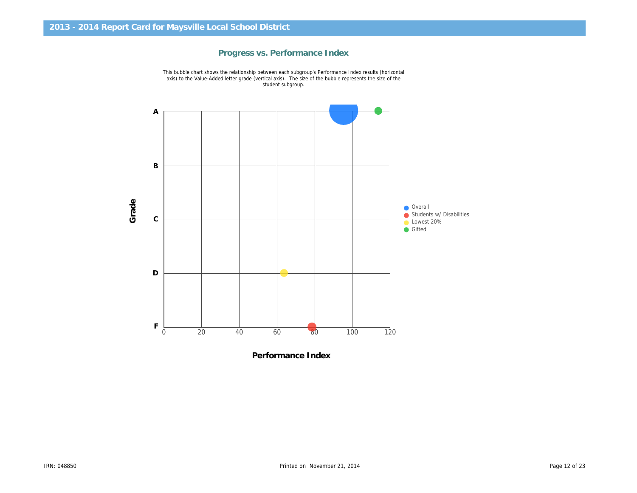

### Progress vs. Performance Index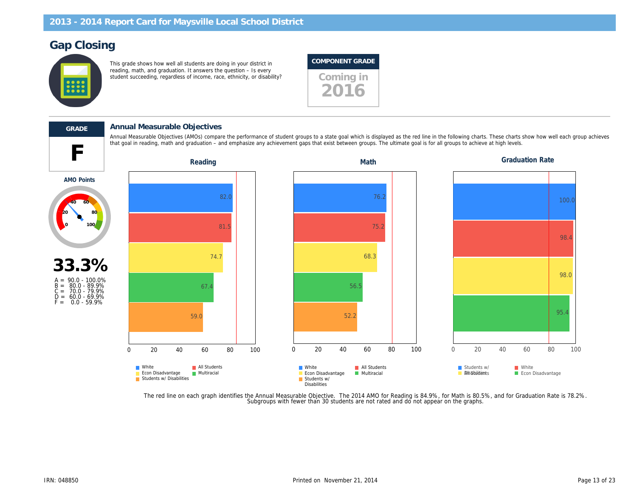# Gap Closing

This grade shows how well all students are doing in your district in reading, math, and graduation. It answers the question – Is every reading, main, and graduation. It answers the question to every student succeeding, regardless of income, race, ethnicity, or disability?

### COMPONENT GRADE





### GRADE Annual Measurable Objectives

that goal in reading, math and graduation – and emphasize any achievement gaps that exist between groups. The ultimate goal is for all groups to achieve at high levels. The ultimate goal is for all groups to achieve at hig Annual Measurable Objectives (AMOs) compare the performance of student groups to a state goal which is displayed as the red line in the following charts. These charts of the following charts of the red each group achieves

AMO Points



The red line on each graph identifies the Annual Measurable Objective. The 2014 AMO for Reading is 84.9%, for Math is 80.5%,<br>Subgroups with fewer than 30 students are not rated and do not appear on the graphs.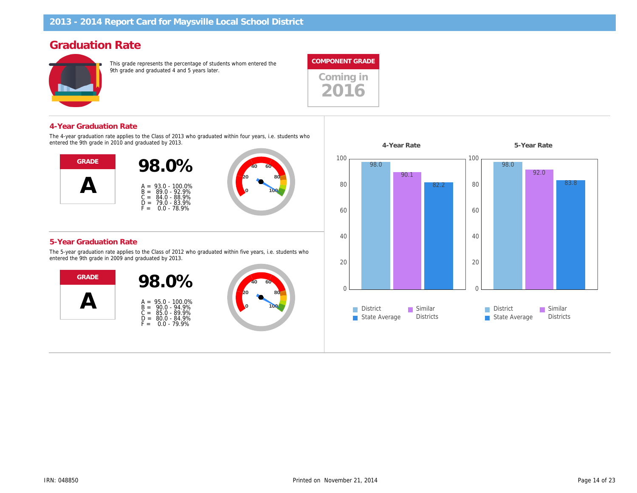# Graduation Rate

This grade represents the percentage of students whom entered the 9th grade and graduated 4 and 5 years later.



Coming in 2016

### 4-Year Graduation Rate

The 4-year graduation rate applies to the Class of 2013 who graduated within four years, i.e. students who entered the 9th grade in 2010 and graduated by 2013.



### 5-Year Graduation Rate

The 5-year graduation rate applies to the Class of 2012 who graduated within five years, i.e. students who entered the 9th grade in 2009 and graduated by 2013.



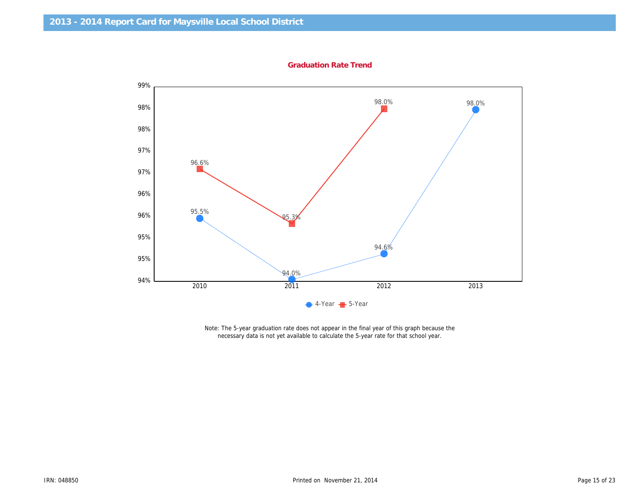Graduation Rate Trend

Note: The 5-year graduation rate does not appear in the final year of this graph because the necessary data is not yet available to calculate the 5-year rate for that school year.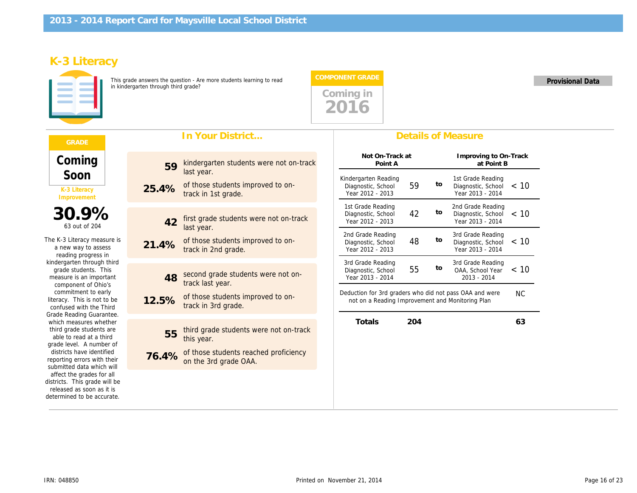# K-3 Literacy

This grade answers the question - Are more students learning to read in kindergarten through third grade?

# In Your District...

| Coming<br>Soon                                                                                                        | 59    | kindergarten students were not on-track<br>last year.          |
|-----------------------------------------------------------------------------------------------------------------------|-------|----------------------------------------------------------------|
| K-3 Literacy<br>Improvement                                                                                           | 25.4% | of those students improved to on-<br>track in 1st grade.       |
|                                                                                                                       |       |                                                                |
| 30.9%<br>63 out of 204                                                                                                | 42    | first grade students were not on-track<br>last year.           |
| The K-3 Literacy measure is<br>a new way to assess<br>reading progress in                                             | 21.4% | of those students improved to on-<br>track in 2nd grade.       |
| kindergarten through third                                                                                            |       |                                                                |
| grade students. This<br>measure is an important<br>component of Ohio's                                                | 48    | second grade students were not on-<br>track last year.         |
| commitment to early<br>literacy. This is not to be<br>confused with the Third                                         | 12.5% | of those students improved to on-<br>track in 3rd grade.       |
| Grade Reading Guarantee.                                                                                              |       |                                                                |
| which measures whether<br>third grade students are<br>able to read at a third<br>grade level. A number of             | 55    | third grade students were not on-track<br>this year.           |
| districts have identified<br>reporting errors with their<br>submitted data which will                                 | 76.4% | of those students reached proficiency<br>on the 3rd grade OAA. |
| affect the grades for all<br>districts. This grade will be<br>released as soon as it is<br>determined to be accurate. |       |                                                                |

### Details of Measure

COMPONENT GRADE Provisional Data

| Not On-Track at<br>Point A                                     |    |    | Improving to<br>at Po                            |
|----------------------------------------------------------------|----|----|--------------------------------------------------|
| Kindergarten Reading<br>Diagnostic, School<br>Year 2012 - 2013 | 59 | to | 1st Grade Rea<br>Diagnostic, Sd<br>Year 2013 - 2 |
| 1st Grade Reading<br>Diagnostic, School<br>Year 2012 - 2013    | 42 | to | 2nd Grade Rea<br>Diagnostic, Sd<br>Year 2013 - 2 |
| 2nd Grade Reading<br>Diagnostic, School<br>Year 2012 - 2013    | 48 | to | 3rd Grade Rea<br>Diagnostic, Sd<br>Year 2013 - 2 |
| 3rd Grade Reading<br>Diagnostic, School<br>Year 2013 - 2014    | 55 | to | 3rd Grade Rea<br>OAA, School<br>$2013 - 201$     |
|                                                                |    |    |                                                  |

Deduction for 3rd graders who did not pass OAA and w not on a Reading Improvement and Monitoring Plan

Totals 204

Coming in 2016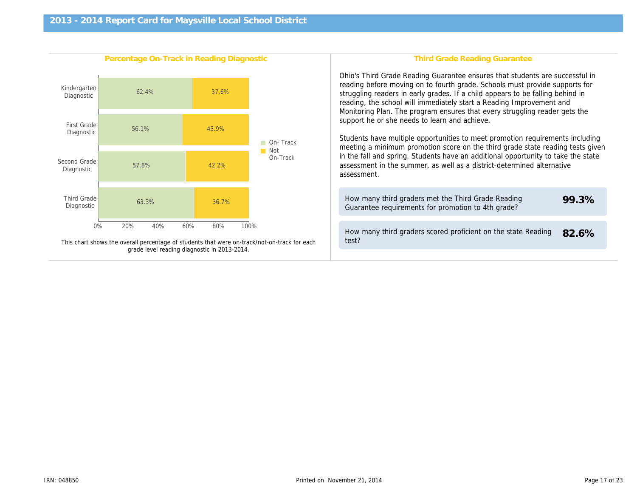| Percentage On-Track in Reading Diagnostic                                                    | Third Grade Reading Gr                                                                                                                                                                                                                                                                                                                                                                                                                                                                                                          |
|----------------------------------------------------------------------------------------------|---------------------------------------------------------------------------------------------------------------------------------------------------------------------------------------------------------------------------------------------------------------------------------------------------------------------------------------------------------------------------------------------------------------------------------------------------------------------------------------------------------------------------------|
|                                                                                              | Ohio's Third Grade Reading Guarantee ensure<br>reading before moving on to fourth grade. Scho<br>struggling readers in early grades. If a child ap<br>reading, the school will immediately start a Rea<br>Monitoring Plan. The program ensures that eve<br>support he or she needs to learn and achieve.<br>Students have multiple opportunities to meet p<br>meeting a minimum promotion score on the thi<br>in the fall and spring. Students have an additio<br>assessment in the summer, as well as a distric<br>assessment. |
|                                                                                              | How many third graders met the Third Grade<br>Guarantee requirements for promotion to 4th                                                                                                                                                                                                                                                                                                                                                                                                                                       |
| This chart shows the overall percentage of students that were on-track/not-on-track for each | How many third graders scored proficient on<br>test?                                                                                                                                                                                                                                                                                                                                                                                                                                                                            |
| grade level reading diagnostic in 2013-2014.                                                 |                                                                                                                                                                                                                                                                                                                                                                                                                                                                                                                                 |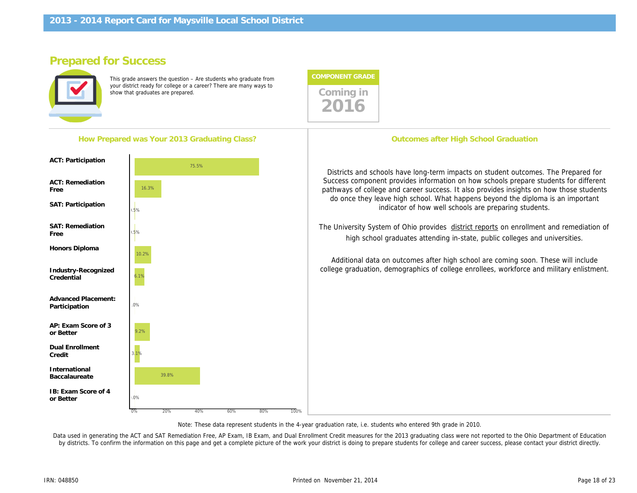How Prepared was Your 2013 Graduating Class?

# Prepared for Success

This grade answers the question – Are students who graduate from your district ready for college or a career? There are many ways to show that graduates are prepared. There are many ways to coming in



**Outcomes after High School G** 

Districts and schools have long-term impacts on str Success component provides information on how sc pathways of college and career success. It also prov do once they leave high school. What happens be indicator of how well schools are pr

The University System of Ohio provides district report high school graduates attending in-state, pub

Additional data on outcomes after high school are college graduation, demographics of college enrollee

Note: These data represent students in the 4-year graduation rate, i.e. students who entered 9th grade in 2010.

Data used in generating the ACT and SAT Remediation Free, AP Exam, IB Exam, and Dual Enrollment Credit measures for the 2013 graduating class were not re by districts. To confirm the information on this page and get a complete picture of the work your district is doing to prepare students for college and career succes

Honors Diploma

ACT: Participation

ACT: Remediation

SAT: Participation

SAT: Remediation

Free

Free

Industry-Recognized **Credential** 

Advanced Placement: Participation

AP: Exam Score of 3 or Better

Dual Enrollment Credit

International Baccalaureate

IB: Exam Score of 4 or Better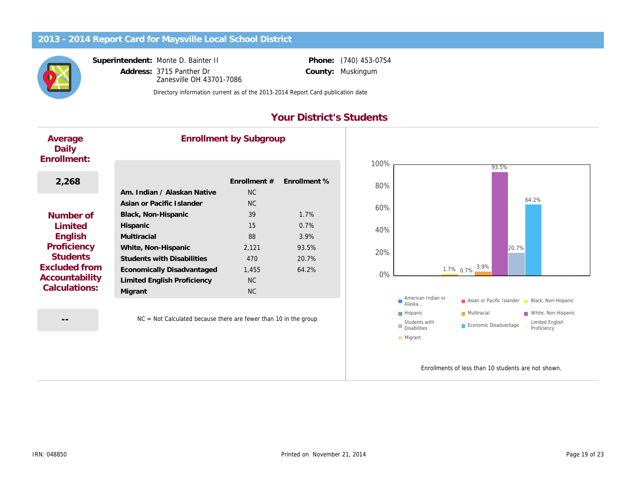Superintendent: Monte D. Bainter II

Address: 3715 Panther Dr County: Zanesville OH 43701-7086

Phone: (740) 453-0754 Muskingum

Directory information current as of the 2013-2014 Report Card publication date

# Your District's Students

| Average<br>Daily<br>Enrollment: |                                   | <b>Enrollment by Subgroup</b> |              |
|---------------------------------|-----------------------------------|-------------------------------|--------------|
|                                 |                                   |                               |              |
| 2,268                           |                                   | Enrollment #                  | Enrollment % |
|                                 | Am. Indian / Alaskan Native       | <b>NC</b>                     |              |
|                                 | Asian or Pacific Islander         | <b>NC</b>                     |              |
| Number of                       | Black, Non-Hispanic               | 39                            | 1.7%         |
| Limited                         | Hispanic                          | 15                            | 0.7%         |
| English                         | Multiracial                       | 88                            | 3.9%         |
| Proficiency                     | White, Non-Hispanic               | 2,121                         | 93.5%        |
| <b>Students</b>                 | <b>Students with Disabilities</b> | 470                           | 20.7%        |
| Excluded from                   | Economically Disadvantaged        | 1,455                         | 64.2%        |
| Accountability                  | Limited English Proficiency       | NC.                           |              |
| Calculations:                   | Migrant                           | N <sub>C</sub>                |              |
|                                 |                                   |                               |              |

--

NC = Not Calculated because there are fewer than 10 in the group

Enrollments of less than 1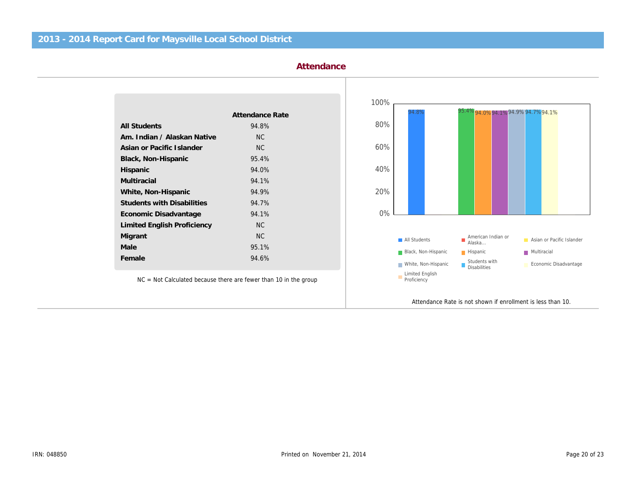| Attendance      |
|-----------------|
|                 |
|                 |
| Attendance Rate |
| 94.8%           |
| N <sub>C</sub>  |
| <b>NC</b>       |
| 95.4%           |
| 94.0%           |
| 94.1%           |
| 94.9%           |
| 94.7%           |
| 94.1%           |
| <b>NC</b>       |
| <b>NC</b>       |
| 95.1%           |
| 94.6%           |
|                 |

NC = Not Calculated because there are fewer than 10 in the group

Attendance Rate is not shown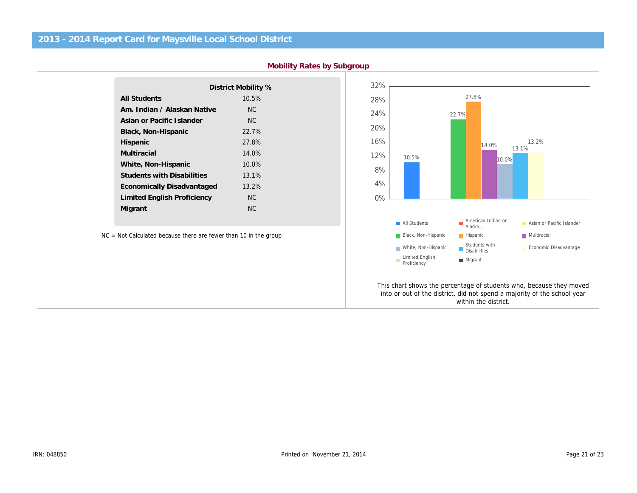|                                   | District Mobility % |
|-----------------------------------|---------------------|
| <b>All Students</b>               | 10.5%               |
| Am. Indian / Alaskan Native       | <b>NC</b>           |
| Asian or Pacific Islander         | <b>NC</b>           |
| Black, Non-Hispanic               | 22.7%               |
| Hispanic                          | 27.8%               |
| Multiracial                       | 14.0%               |
| White, Non-Hispanic               | $10.0\%$            |
| <b>Students with Disabilities</b> | 13.1%               |
| Economically Disadvantaged        | 13.2%               |
| Limited English Proficiency       | <b>NC</b>           |
| Migrant                           | ΝC                  |
|                                   |                     |

NC = Not Calculated because there are fewer than 10 in the group

This chart shows the percentage of stu into or out of the district, did not spend within the di

Mobility Rates by Subgroup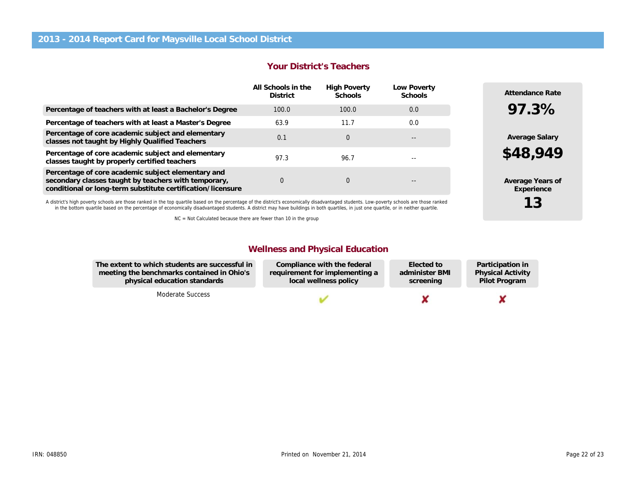|                                                                                                                                                                           | <u>i vui Divulive Tuuvilulu</u>       |                                |                        |  |  |
|---------------------------------------------------------------------------------------------------------------------------------------------------------------------------|---------------------------------------|--------------------------------|------------------------|--|--|
|                                                                                                                                                                           | All Schools in the<br><b>District</b> | <b>High Poverty</b><br>Schools | Low Poverty<br>Schools |  |  |
| Percentage of teachers with at least a Bachelor's Degree                                                                                                                  | 100.0                                 | 100.0                          | 0.0                    |  |  |
| Percentage of teachers with at least a Master's Degree                                                                                                                    | 63.9                                  | 11.7                           | 0.0                    |  |  |
| Percentage of core academic subject and elementary<br>classes not taught by Highly Qualified Teachers                                                                     | 0.1                                   | $\mathbf 0$                    | $- -$                  |  |  |
| Percentage of core academic subject and elementary<br>classes taught by properly certified teachers                                                                       | 97.3                                  | 96.7                           |                        |  |  |
| Percentage of core academic subject elementary and<br>secondary classes taught by teachers with temporary,<br>conditional or long-term substitute certification/licensure | 0                                     | $\mathbf 0$                    | --                     |  |  |

A district's high poverty schools are those ranked in the top quartile based on the percentage of the district's economically disadvantaged students. Low-poverty schools are those ranked in the bottom quartile based on the percentage of economically disadvantaged students. A district may have buildings in both quartiles, in just one quartile, or in neither quartile.

NC = Not Calculated because there are fewer than 10 in the group

### Wellness and Physical Education

Partio Physi Pilot

Your District's Teachers

| The extent to which students are successful in | Compliance with the federal    | Elected to     |
|------------------------------------------------|--------------------------------|----------------|
| meeting the benchmarks contained in Ohio's     | requirement for implementing a | administer BMI |
| physical education standards                   | local wellness policy          | screening      |

Moderate Success